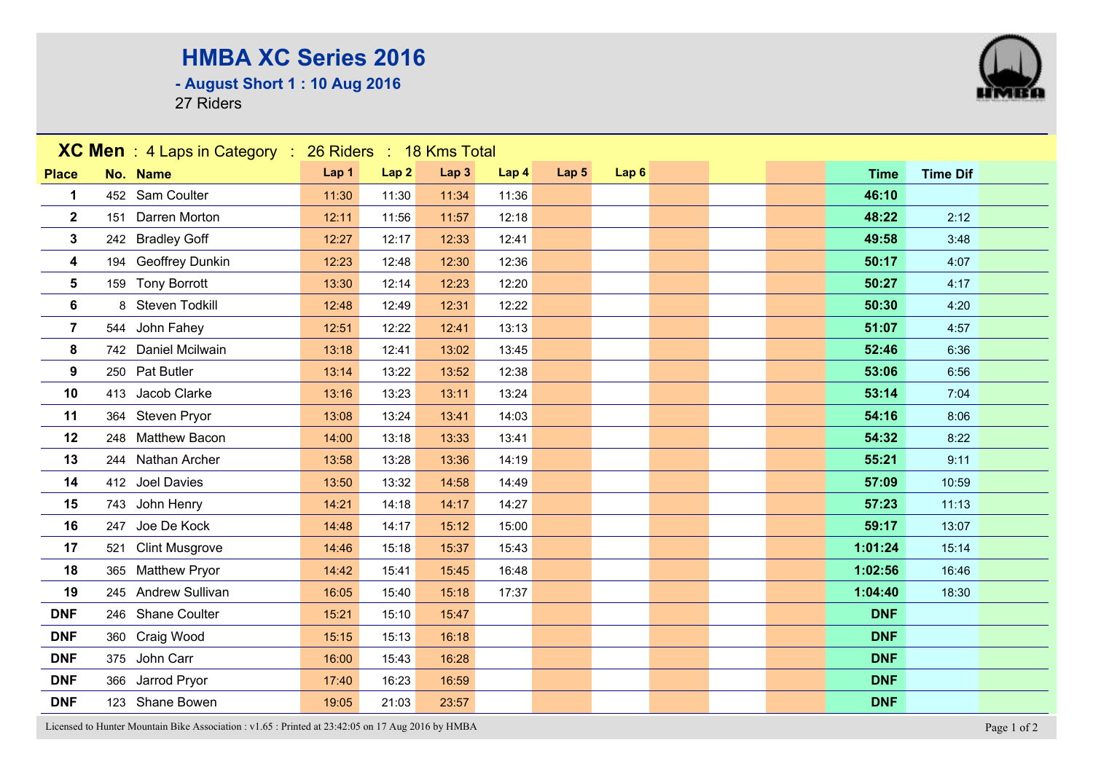## **HMBA XC Series 2016**

**- August Short 1 : 10 Aug 2016**

27 Riders



Licensed to Hunter Mountain Bike Association : v1.65 : Printed at 23:42:05 on 17 Aug 2016 by HMBA Page 1 of 2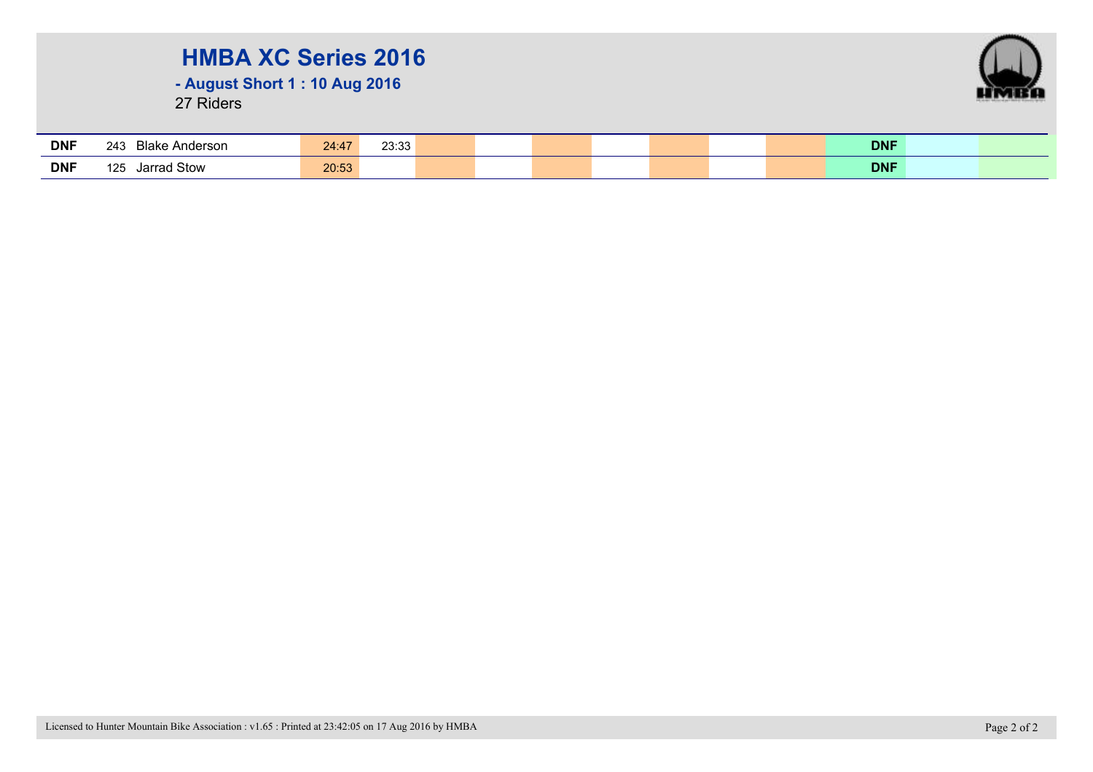## **HMBA XC Series 2016**

**- August Short 1 : 10 Aug 2016**

27 Riders



| <b>DNF</b> | <b>Blake Anderson</b><br>243 | 24:47 | פפיפר<br>∠ວ.ວວ |  | <b>DNF</b> |  |
|------------|------------------------------|-------|----------------|--|------------|--|
| <b>DNF</b> | ∣ Stow<br>125<br>larrad      | 20:53 |                |  | <b>DNF</b> |  |